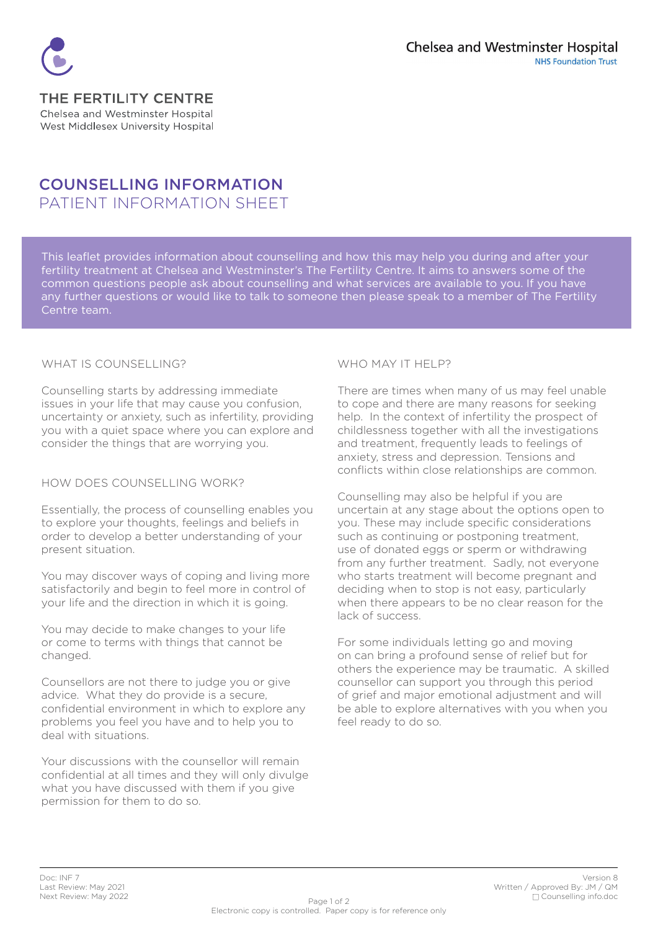

#### THE FERTILITY CENTRE Chelsea and Westminster Hospital West Middlesex University Hospital

# **COUNSELLING INFORMATION** PATIENT INFORMATION SHEET

This leaflet provides information about counselling and how this may help you during and after your fertility treatment at Chelsea and Westminster's The Fertility Centre. It aims to answers some of the common questions people ask about counselling and what services are available to you. If you have any further questions or would like to talk to someone then please speak to a member of The Fertility Centre team.

#### WHAT IS COUNSELLING?

Counselling starts by addressing immediate issues in your life that may cause you confusion, uncertainty or anxiety, such as infertility, providing you with a quiet space where you can explore and consider the things that are worrying you.

#### HOW DOES COUNSELLING WORK?

Essentially, the process of counselling enables you to explore your thoughts, feelings and beliefs in order to develop a better understanding of your present situation.

You may discover ways of coping and living more satisfactorily and begin to feel more in control of vour life and the direction in which it is going.

You may decide to make changes to your life or come to terms with things that cannot be .changed

Counsellors are not there to judge you or give advice. What they do provide is a secure. confidential environment in which to explore any problems you feel you have and to help you to deal with situations

Your discussions with the counsellor will remain confidential at all times and they will only divulge what you have discussed with them if you give permission for them to do so.

### WHO MAY IT HELP?

There are times when many of us may feel unable to cope and there are many reasons for seeking help. In the context of infertility the prospect of childlessness together with all the investigations and treatment, frequently leads to feelings of anxiety, stress and depression. Tensions and conflicts within close relationships are common.

Counselling may also be helpful if you are uncertain at any stage about the options open to vou. These may include specific considerations such as continuing or postponing treatment. use of donated eggs or sperm or withdrawing from any further treatment. Sadly, not everyone who starts treatment will become pregnant and deciding when to stop is not easy, particularly when there appears to be no clear reason for the lack of success

For some individuals letting go and moving on can bring a profound sense of relief but for others the experience may be traumatic. A skilled counsellor can support you through this period of grief and major emotional adjustment and will be able to explore alternatives with you when you feel ready to do so.